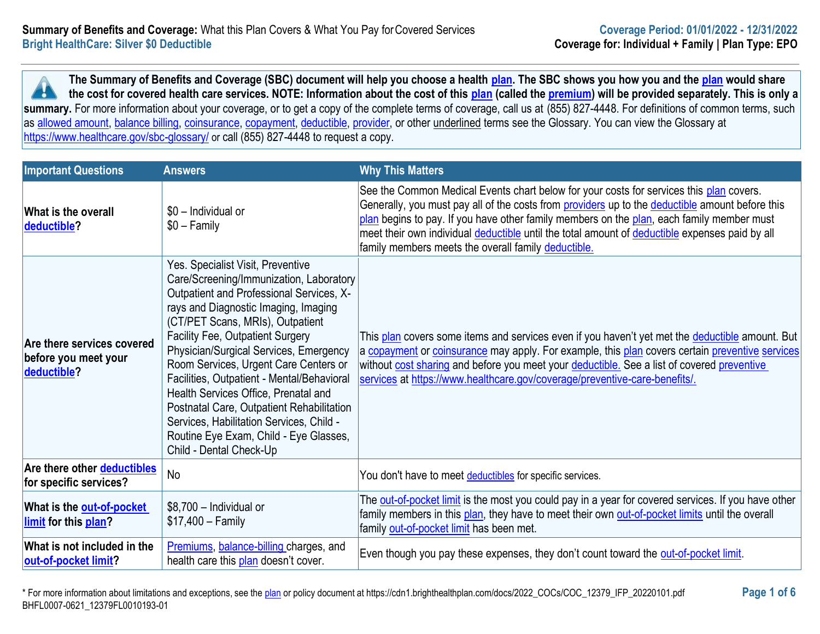**The Summary of Benefits and Coverage (SBC) document will help you choose a health [plan.](https://www.healthcare.gov/sbc-glossary/#plan) The SBC shows you how you and the [plan](https://www.healthcare.gov/sbc-glossary/#plan) would share the cost for covered health care services. NOTE: Information about the cost of this [plan](https://www.healthcare.gov/sbc-glossary/#plan) (called the [premium\)](https://www.healthcare.gov/sbc-glossary/#premium) will be provided separately. This is only a A** summary. For more information about your coverage, or to get a copy of the complete terms of coverage, call us at (855) 827-4448. For definitions of common terms, such as [allowed amount,](https://www.healthcare.gov/sbc-glossary/#allowed-amount) [balance billing,](https://www.healthcare.gov/sbc-glossary/#balance-billing) [coinsurance,](https://www.healthcare.gov/sbc-glossary/#coinsurance) [copayment,](https://www.healthcare.gov/sbc-glossary/#copayment) [deductible,](https://www.healthcare.gov/sbc-glossary/#deductible) [provider,](https://www.healthcare.gov/sbc-glossary/#provider) or other underlined terms see the Glossary. You can view the Glossary at <https://www.healthcare.gov/sbc-glossary/> or call (855) 827-4448 to request a copy.

| <b>Important Questions</b>                                               | <b>Answers</b>                                                                                                                                                                                                                                                                                                                                                                                                                                                                                                                                                                  | <b>Why This Matters</b>                                                                                                                                                                                                                                                                                                                                                                                                                                        |
|--------------------------------------------------------------------------|---------------------------------------------------------------------------------------------------------------------------------------------------------------------------------------------------------------------------------------------------------------------------------------------------------------------------------------------------------------------------------------------------------------------------------------------------------------------------------------------------------------------------------------------------------------------------------|----------------------------------------------------------------------------------------------------------------------------------------------------------------------------------------------------------------------------------------------------------------------------------------------------------------------------------------------------------------------------------------------------------------------------------------------------------------|
| What is the overall<br>deductible?                                       | \$0 - Individual or<br>$$0 - Family$                                                                                                                                                                                                                                                                                                                                                                                                                                                                                                                                            | See the Common Medical Events chart below for your costs for services this plan covers.<br>Generally, you must pay all of the costs from providers up to the deductible amount before this<br>plan begins to pay. If you have other family members on the plan, each family member must<br>meet their own individual <i>deductible</i> until the total amount of <i>deductible</i> expenses paid by all<br>family members meets the overall family deductible. |
| <b>Are there services covered</b><br>before you meet your<br>deductible? | Yes. Specialist Visit, Preventive<br>Care/Screening/Immunization, Laboratory<br>Outpatient and Professional Services, X-<br>rays and Diagnostic Imaging, Imaging<br>(CT/PET Scans, MRIs), Outpatient<br>Facility Fee, Outpatient Surgery<br>Physician/Surgical Services, Emergency<br>Room Services, Urgent Care Centers or<br>Facilities, Outpatient - Mental/Behavioral<br>Health Services Office, Prenatal and<br>Postnatal Care, Outpatient Rehabilitation<br>Services, Habilitation Services, Child -<br>Routine Eye Exam, Child - Eye Glasses,<br>Child - Dental Check-Up | This plan covers some items and services even if you haven't yet met the deductible amount. But<br>a copayment or coinsurance may apply. For example, this plan covers certain preventive services<br>without cost sharing and before you meet your deductible. See a list of covered preventive<br>services at https://www.healthcare.gov/coverage/preventive-care-benefits/.                                                                                 |
| Are there other deductibles<br>for specific services?                    | <b>No</b>                                                                                                                                                                                                                                                                                                                                                                                                                                                                                                                                                                       | You don't have to meet deductibles for specific services.                                                                                                                                                                                                                                                                                                                                                                                                      |
| What is the out-of-pocket<br>limit for this plan?                        | \$8,700 - Individual or<br>$$17,400 - Family$                                                                                                                                                                                                                                                                                                                                                                                                                                                                                                                                   | The out-of-pocket limit is the most you could pay in a year for covered services. If you have other<br>family members in this plan, they have to meet their own out-of-pocket limits until the overall<br>family out-of-pocket limit has been met.                                                                                                                                                                                                             |
| What is not included in the<br>out-of-pocket limit?                      | Premiums, balance-billing charges, and<br>health care this plan doesn't cover.                                                                                                                                                                                                                                                                                                                                                                                                                                                                                                  | Even though you pay these expenses, they don't count toward the out-of-pocket limit.                                                                                                                                                                                                                                                                                                                                                                           |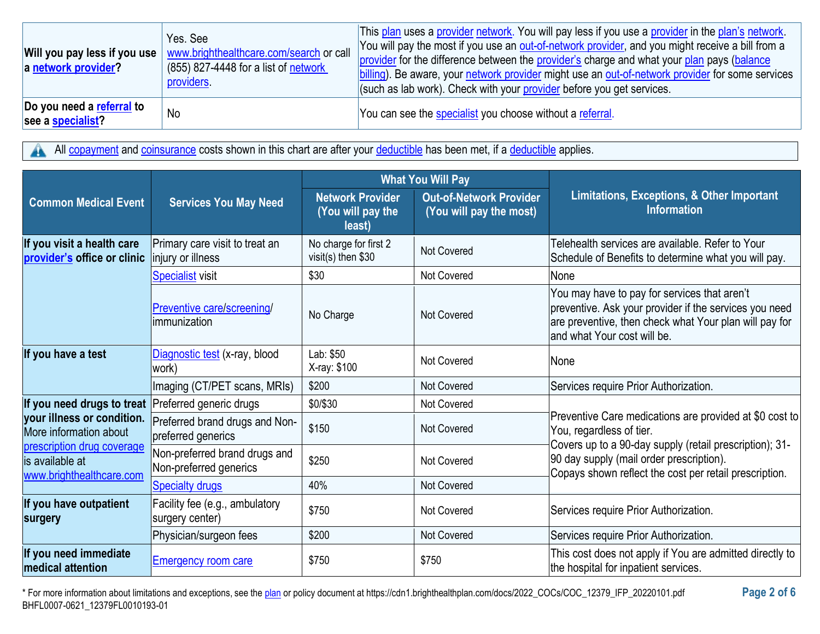| a network provider?                            | Yes, See<br>Will you pay less if you use   www.brighthealthcare.com/search or call<br>(855) 827-4448 for a list of network<br>providers | This plan uses a provider network. You will pay less if you use a provider in the plan's network.<br>You will pay the most if you use an out-of-network provider, and you might receive a bill from a<br>provider for the difference between the provider's charge and what your plan pays (balance<br>billing). Be aware, your network provider might use an out-of-network provider for some services<br>(such as lab work). Check with your provider before you get services. |
|------------------------------------------------|-----------------------------------------------------------------------------------------------------------------------------------------|----------------------------------------------------------------------------------------------------------------------------------------------------------------------------------------------------------------------------------------------------------------------------------------------------------------------------------------------------------------------------------------------------------------------------------------------------------------------------------|
| Do you need a referral to<br>see a specialist? | No                                                                                                                                      | You can see the specialist you choose without a referral.                                                                                                                                                                                                                                                                                                                                                                                                                        |

All [copayment](https://www.healthcare.gov/sbc-glossary/#copayment) and [coinsurance](https://www.healthcare.gov/sbc-glossary/#coinsurance) costs shown in this chart are after your [deductible](https://www.healthcare.gov/sbc-glossary/#deductible) has been met, if a deductible applies. 4

|                                                                                                                                    |                                                         | <b>What You Will Pay</b>                               |                                                           |                                                                                                                                                                                                                                                      |  |
|------------------------------------------------------------------------------------------------------------------------------------|---------------------------------------------------------|--------------------------------------------------------|-----------------------------------------------------------|------------------------------------------------------------------------------------------------------------------------------------------------------------------------------------------------------------------------------------------------------|--|
| <b>Common Medical Event</b>                                                                                                        | <b>Services You May Need</b>                            | <b>Network Provider</b><br>(You will pay the<br>least) | <b>Out-of-Network Provider</b><br>(You will pay the most) | Limitations, Exceptions, & Other Important<br><b>Information</b>                                                                                                                                                                                     |  |
| If you visit a health care<br>provider's office or clinic                                                                          | Primary care visit to treat an<br>injury or illness     | No charge for first 2<br>visit(s) then \$30            | <b>Not Covered</b>                                        | Telehealth services are available. Refer to Your<br>Schedule of Benefits to determine what you will pay.                                                                                                                                             |  |
|                                                                                                                                    | <b>Specialist visit</b>                                 | \$30                                                   | Not Covered                                               | None                                                                                                                                                                                                                                                 |  |
|                                                                                                                                    | Preventive care/screening/<br>immunization              | No Charge                                              | <b>Not Covered</b>                                        | You may have to pay for services that aren't<br>preventive. Ask your provider if the services you need<br>are preventive, then check what Your plan will pay for<br>and what Your cost will be.                                                      |  |
| If you have a test                                                                                                                 | Diagnostic test (x-ray, blood<br>work)                  | Lab: \$50<br>X-ray: \$100                              | <b>Not Covered</b>                                        | None                                                                                                                                                                                                                                                 |  |
|                                                                                                                                    | Imaging (CT/PET scans, MRIs)                            | \$200                                                  | <b>Not Covered</b>                                        | Services require Prior Authorization.                                                                                                                                                                                                                |  |
| If you need drugs to treat Preferred generic drugs                                                                                 |                                                         | \$0/\$30                                               | <b>Not Covered</b>                                        |                                                                                                                                                                                                                                                      |  |
| your illness or condition.<br>More information about<br>prescription drug coverage<br>lis available at<br>www.brighthealthcare.com | Preferred brand drugs and Non-<br>preferred generics    | \$150                                                  | <b>Not Covered</b>                                        | Preventive Care medications are provided at \$0 cost to<br>You, regardless of tier.<br>Covers up to a 90-day supply (retail prescription); 31-<br>90 day supply (mail order prescription).<br>Copays shown reflect the cost per retail prescription. |  |
|                                                                                                                                    | Non-preferred brand drugs and<br>Non-preferred generics | \$250                                                  | <b>Not Covered</b>                                        |                                                                                                                                                                                                                                                      |  |
|                                                                                                                                    | <b>Specialty drugs</b>                                  | 40%                                                    | <b>Not Covered</b>                                        |                                                                                                                                                                                                                                                      |  |
| If you have outpatient<br>surgery                                                                                                  | Facility fee (e.g., ambulatory<br>surgery center)       | \$750                                                  | <b>Not Covered</b>                                        | Services require Prior Authorization.                                                                                                                                                                                                                |  |
|                                                                                                                                    | Physician/surgeon fees                                  | \$200                                                  | Not Covered                                               | Services require Prior Authorization.                                                                                                                                                                                                                |  |
| If you need immediate<br><b>medical attention</b>                                                                                  | <b>Emergency room care</b>                              | \$750                                                  | \$750                                                     | This cost does not apply if You are admitted directly to<br>the hospital for inpatient services.                                                                                                                                                     |  |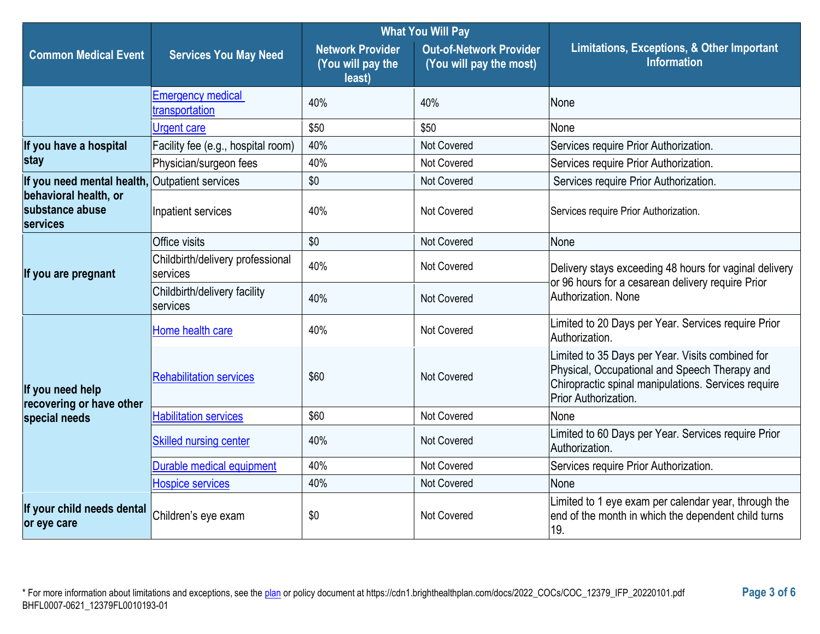|                                                             |                                              | <b>What You Will Pay</b>                               |                                                           |                                                                                                                                                                                  |  |
|-------------------------------------------------------------|----------------------------------------------|--------------------------------------------------------|-----------------------------------------------------------|----------------------------------------------------------------------------------------------------------------------------------------------------------------------------------|--|
| <b>Common Medical Event</b>                                 | <b>Services You May Need</b>                 | <b>Network Provider</b><br>(You will pay the<br>least) | <b>Out-of-Network Provider</b><br>(You will pay the most) | Limitations, Exceptions, & Other Important<br><b>Information</b>                                                                                                                 |  |
|                                                             | <b>Emergency medical</b><br>transportation   | 40%                                                    | 40%                                                       | None                                                                                                                                                                             |  |
|                                                             | <b>Urgent care</b>                           | \$50                                                   | \$50                                                      | None                                                                                                                                                                             |  |
| If you have a hospital                                      | Facility fee (e.g., hospital room)           | 40%                                                    | Not Covered                                               | Services require Prior Authorization.                                                                                                                                            |  |
| stay                                                        | Physician/surgeon fees                       | 40%                                                    | Not Covered                                               | Services require Prior Authorization.                                                                                                                                            |  |
| If you need mental health, Outpatient services              |                                              | \$0                                                    | <b>Not Covered</b>                                        | Services require Prior Authorization.                                                                                                                                            |  |
| behavioral health, or<br>substance abuse<br><b>services</b> | Inpatient services                           | 40%                                                    | <b>Not Covered</b>                                        | Services require Prior Authorization.                                                                                                                                            |  |
|                                                             | Office visits                                | \$0                                                    | <b>Not Covered</b>                                        | None                                                                                                                                                                             |  |
| If you are pregnant                                         | Childbirth/delivery professional<br>services | 40%                                                    | Not Covered                                               | Delivery stays exceeding 48 hours for vaginal delivery<br>or 96 hours for a cesarean delivery require Prior<br>Authorization, None                                               |  |
|                                                             | Childbirth/delivery facility<br>services     | 40%                                                    | Not Covered                                               |                                                                                                                                                                                  |  |
|                                                             | Home health care                             | 40%                                                    | <b>Not Covered</b>                                        | Limited to 20 Days per Year. Services require Prior<br>Authorization.                                                                                                            |  |
| If you need help<br>recovering or have other                | <b>Rehabilitation services</b>               | \$60                                                   | Not Covered                                               | Limited to 35 Days per Year. Visits combined for<br>Physical, Occupational and Speech Therapy and<br>Chiropractic spinal manipulations. Services require<br>Prior Authorization. |  |
| special needs                                               | <b>Habilitation services</b>                 | \$60                                                   | <b>Not Covered</b>                                        | None                                                                                                                                                                             |  |
|                                                             | <b>Skilled nursing center</b>                | 40%                                                    | <b>Not Covered</b>                                        | Limited to 60 Days per Year. Services require Prior<br>Authorization.                                                                                                            |  |
|                                                             | Durable medical equipment                    | 40%                                                    | Not Covered                                               | Services require Prior Authorization.                                                                                                                                            |  |
|                                                             | <b>Hospice services</b>                      | 40%                                                    | <b>Not Covered</b>                                        | None                                                                                                                                                                             |  |
| If your child needs dental<br>or eye care                   | Children's eye exam                          | \$0                                                    | Not Covered                                               | Limited to 1 eye exam per calendar year, through the<br>end of the month in which the dependent child turns<br>19.                                                               |  |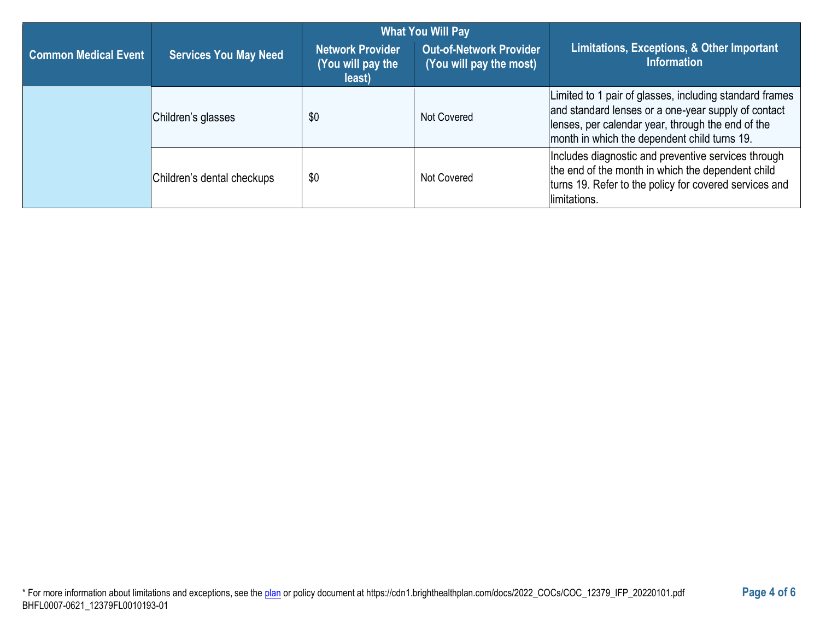|                             |                              | <b>What You Will Pay</b>                               |                                                           |                                                                                                                                                                                                                     |
|-----------------------------|------------------------------|--------------------------------------------------------|-----------------------------------------------------------|---------------------------------------------------------------------------------------------------------------------------------------------------------------------------------------------------------------------|
| <b>Common Medical Event</b> | <b>Services You May Need</b> | <b>Network Provider</b><br>(You will pay the<br>least) | <b>Out-of-Network Provider</b><br>(You will pay the most) | Limitations, Exceptions, & Other Important<br><b>Information</b>                                                                                                                                                    |
|                             | Children's glasses           | \$0                                                    | Not Covered                                               | Limited to 1 pair of glasses, including standard frames<br>and standard lenses or a one-year supply of contact<br>lenses, per calendar year, through the end of the<br>month in which the dependent child turns 19. |
|                             | Children's dental checkups   | \$0                                                    | <b>Not Covered</b>                                        | Includes diagnostic and preventive services through<br>the end of the month in which the dependent child<br>turns 19. Refer to the policy for covered services and<br>limitations.                                  |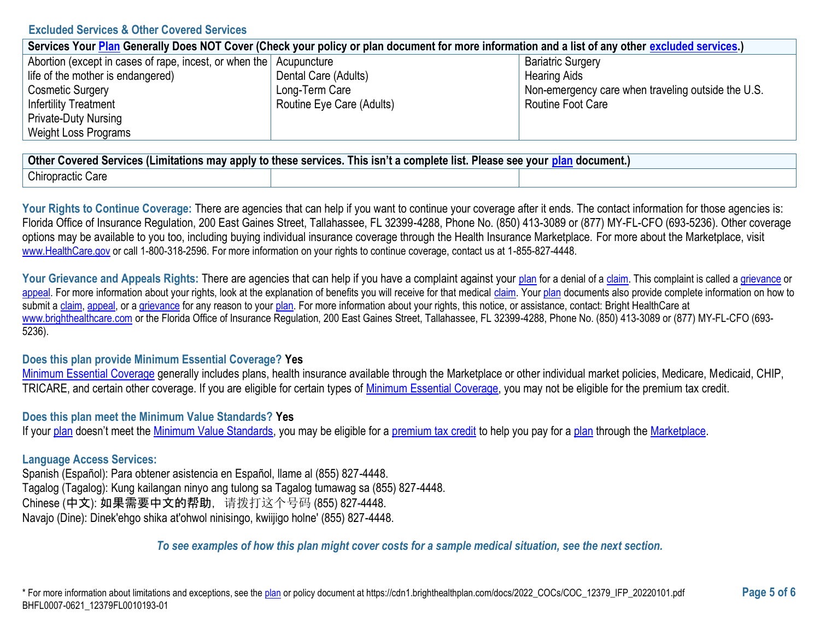### **Excluded Services & Other Covered Services**

| Services Your Plan Generally Does NOT Cover (Check your policy or plan document for more information and a list of any other excluded services.) |                           |                                                    |  |  |
|--------------------------------------------------------------------------------------------------------------------------------------------------|---------------------------|----------------------------------------------------|--|--|
| Abortion (except in cases of rape, incest, or when the Acupuncture                                                                               |                           | <b>Bariatric Surgery</b>                           |  |  |
| life of the mother is endangered)                                                                                                                | Dental Care (Adults)      | <b>Hearing Aids</b>                                |  |  |
| <b>Cosmetic Surgery</b>                                                                                                                          | Long-Term Care            | Non-emergency care when traveling outside the U.S. |  |  |
| <b>Infertility Treatment</b>                                                                                                                     | Routine Eye Care (Adults) | Routine Foot Care                                  |  |  |
| <b>Private-Duty Nursing</b>                                                                                                                      |                           |                                                    |  |  |
| Weight Loss Programs                                                                                                                             |                           |                                                    |  |  |

| <b>Other</b><br>y apply to these services.<br>This isn't a complete list.<br>Please see<br><u>`n</u> document.,<br>. Covered Services (Limitations may 1<br><b>vour</b> |  |  |  |
|-------------------------------------------------------------------------------------------------------------------------------------------------------------------------|--|--|--|
| Chiropractic Care                                                                                                                                                       |  |  |  |

Your Rights to Continue Coverage: There are agencies that can help if you want to continue your coverage after it ends. The contact information for those agencies is: Florida Office of Insurance Regulation, 200 East Gaines Street, Tallahassee, FL 32399-4288, Phone No. (850) 413-3089 or (877) MY-FL-CFO (693-5236). Other coverage options may be available to you too, including buying individual insurance coverage through the Health Insurance Marketplace. For more about the Marketplace, visit [www.HealthCare.gov](https://www.healthcare.gov/) or call 1-800-318-2596. For more information on your rights to continue coverage, contact us at 1-855-827-4448.

Your Grievance and Appeals Rights: There are agencies that can help if you have a complaint against your [plan](https://www.healthcare.gov/sbc-glossary/#plan) for a denial of [a claim.](https://www.healthcare.gov/sbc-glossary/#claim) This complaint is called a [grievance](https://www.healthcare.gov/sbc-glossary/#grievance) or [appeal.](https://www.healthcare.gov/sbc-glossary/#appeal) For more information about your rights, look at the explanation of benefits you will receive for that medical [claim.](https://www.healthcare.gov/sbc-glossary/#claim) You[r plan](https://www.healthcare.gov/sbc-glossary/#plan) documents also provide complete information on how to submit a [claim,](https://www.healthcare.gov/sbc-glossary/#claim) [appeal,](https://www.healthcare.gov/sbc-glossary/#appeal) or [a grievance](https://www.healthcare.gov/sbc-glossary/#grievance) for any reason to your [plan.](https://www.healthcare.gov/sbc-glossary/#plan) For more information about your rights, this notice, or assistance, contact: Bright HealthCare at [www.brighthealthcare.com](https://www.brighthealthcare.com/) or the Florida Office of Insurance Regulation, 200 East Gaines Street, Tallahassee, FL 32399-4288, Phone No. (850) 413-3089 or (877) MY-FL-CFO (693- 5236).

# **Does this plan provide Minimum Essential Coverage? Yes**

[Minimum Essential Coverage](https://www.healthcare.gov/sbc-glossary/#minimum-essential-coverage) generally includes plans, health insurance available through the Marketplace or other individual market policies, Medicare, Medicaid, CHIP, TRICARE, and certain other coverage. If you are eligible for certain types of [Minimum Essential Coverage,](https://www.healthcare.gov/sbc-glossary/#minimum-essential-coverage) you may not be eligible for the premium tax credit.

### **Does this plan meet the Minimum Value Standards? Yes**

If you[r plan](https://www.healthcare.gov/sbc-glossary/#plan) doesn't meet the [Minimum Value Standards,](https://www.healthcare.gov/sbc-glossary/#minimum-value-standard) you may be eligible for a [premium tax credit](https://www.healthcare.gov/sbc-glossary/#premium-tax-credits) to help you pay for a [plan](https://www.healthcare.gov/sbc-glossary/#plan) through the [Marketplace.](https://www.healthcare.gov/sbc-glossary/#marketplace)

# **Language Access Services:**

Spanish (Español): Para obtener asistencia en Español, llame al (855) 827-4448. Tagalog (Tagalog): Kung kailangan ninyo ang tulong sa Tagalog tumawag sa (855) 827-4448. Chinese (中文): 如果需要中文的帮助,请拨打这个号码 (855) 827-4448. Navajo (Dine): Dinek'ehgo shika at'ohwol ninisingo, kwiijigo holne' (855) 827-4448.

# *To see examples of how this plan might cover costs for a sample medical situation, see the next section.*